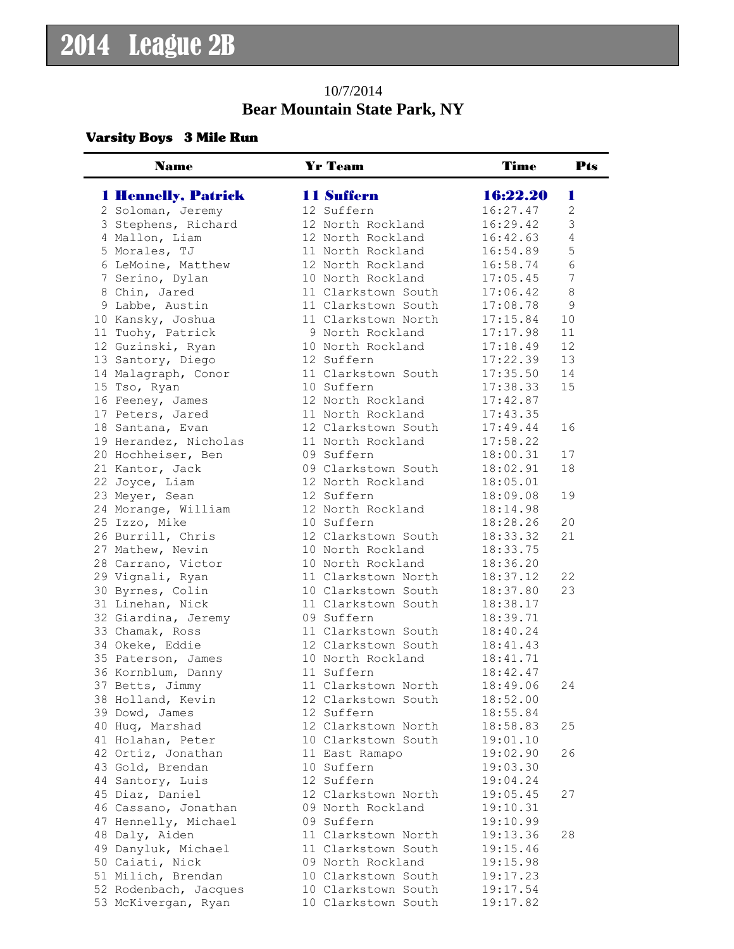## 10/7/2014 **Bear Mountain State Park, NY**

#### Varsity Boys 3 Mile Run

| <b>Name</b>                            | <b>Yr Team</b>                    | <b>Time</b>          | <b>Pts</b>     |
|----------------------------------------|-----------------------------------|----------------------|----------------|
| <b>1 Hennelly, Patrick</b>             | <b>11 Suffern</b>                 | 16:22.20             | ш              |
| 2 Soloman, Jeremy                      | 12 Suffern                        | 16:27.47             | $\overline{2}$ |
| 3 Stephens, Richard                    | 12 North Rockland                 | 16:29.42             | 3              |
| 4 Mallon, Liam                         | 12 North Rockland                 | 16:42.63             | 4              |
| 5 Morales, TJ                          | 11 North Rockland                 | 16:54.89             | 5              |
| 6 LeMoine, Matthew                     | 12 North Rockland                 | 16:58.74             | $6\phantom{1}$ |
| 7 Serino, Dylan                        | 10 North Rockland                 | 17:05.45             | 7              |
| 8 Chin, Jared                          | 11 Clarkstown South               | 17:06.42             | $\,8\,$        |
| 9 Labbe, Austin                        | 11 Clarkstown South               | 17:08.78             | $\mathsf 9$    |
| 10 Kansky, Joshua                      | 11 Clarkstown North               | 17:15.84             | 10             |
| 11 Tuohy, Patrick                      | 9 North Rockland                  | 17:17.98             | 11             |
| 12 Guzinski, Ryan                      | 10 North Rockland                 | 17:18.49             | 12             |
| 13 Santory, Diego                      | 12 Suffern                        | 17:22.39             | 13             |
| 14 Malagraph, Conor                    | 11 Clarkstown South               | 17:35.50             | 14             |
| 15 Tso, Ryan                           | 10 Suffern                        | 17:38.33             | 15             |
| 16 Feeney, James                       | 12 North Rockland                 | 17:42.87             |                |
| 17 Peters, Jared                       | 11 North Rockland                 | 17:43.35             |                |
| 18 Santana, Evan                       | 12 Clarkstown South               | 17:49.44             | 16             |
| 19 Herandez, Nicholas                  | 11 North Rockland                 | 17:58.22             |                |
| 20 Hochheiser, Ben                     | 09 Suffern                        | 18:00.31             | 17             |
| 21 Kantor, Jack                        | 09 Clarkstown South               | 18:02.91             | 18             |
| 22 Joyce, Liam                         | 12 North Rockland                 | 18:05.01             |                |
| 23 Meyer, Sean                         | 12 Suffern                        | 18:09.08             | 19             |
| 24 Morange, William                    | 12 North Rockland                 | 18:14.98             |                |
| 25 Izzo, Mike                          | 10 Suffern                        | 18:28.26             | 20             |
| 26 Burrill, Chris                      | 12 Clarkstown South               | 18:33.32             | 21             |
| 27 Mathew, Nevin                       | 10 North Rockland                 | 18:33.75             |                |
| 28 Carrano, Victor                     | 10 North Rockland                 | 18:36.20             |                |
| 29 Vignali, Ryan                       | 11 Clarkstown North               | 18:37.12             | 22             |
| 30 Byrnes, Colin                       | 10 Clarkstown South               | 18:37.80             | 23             |
| 31 Linehan, Nick                       | 11 Clarkstown South               | 18:38.17             |                |
| 32 Giardina, Jeremy                    | 09 Suffern                        | 18:39.71             |                |
| 33 Chamak, Ross                        | 11 Clarkstown South               | 18:40.24             |                |
| 34 Okeke, Eddie                        | 12 Clarkstown South               | 18:41.43             |                |
| 35 Paterson, James                     | 10 North Rockland                 | 18:41.71             |                |
| 36 Kornblum, Danny                     | 11 Suffern                        | 18:42.47             |                |
| 37 Betts, Jimmy                        | 11 Clarkstown North               | 18:49.06             | 24             |
| 38 Holland, Kevin                      | 12 Clarkstown South               | 18:52.00             |                |
| 39 Dowd, James                         | 12 Suffern                        | 18:55.84             |                |
| 40 Huq, Marshad                        | 12 Clarkstown North               | 18:58.83             | 25             |
| 41 Holahan, Peter                      | 10 Clarkstown South               | 19:01.10             |                |
| 42 Ortiz, Jonathan                     | 11 East Ramapo                    | 19:02.90             | 26             |
| 43 Gold, Brendan                       | 10 Suffern                        | 19:03.30             |                |
| 44 Santory, Luis                       | 12 Suffern                        | 19:04.24             |                |
| 45 Diaz, Daniel                        | 12 Clarkstown North               | 19:05.45             | 27             |
| 46 Cassano, Jonathan                   | 09 North Rockland                 | 19:10.31             |                |
| 47 Hennelly, Michael                   | 09 Suffern<br>11 Clarkstown North | 19:10.99             |                |
| 48 Daly, Aiden                         | 11 Clarkstown South               | 19:13.36             | 28             |
| 49 Danyluk, Michael<br>50 Caiati, Nick | 09 North Rockland                 | 19:15.46<br>19:15.98 |                |
| 51 Milich, Brendan                     | 10 Clarkstown South               | 19:17.23             |                |
| 52 Rodenbach, Jacques                  | 10 Clarkstown South               | 19:17.54             |                |
| 53 McKivergan, Ryan                    | 10 Clarkstown South               | 19:17.82             |                |
|                                        |                                   |                      |                |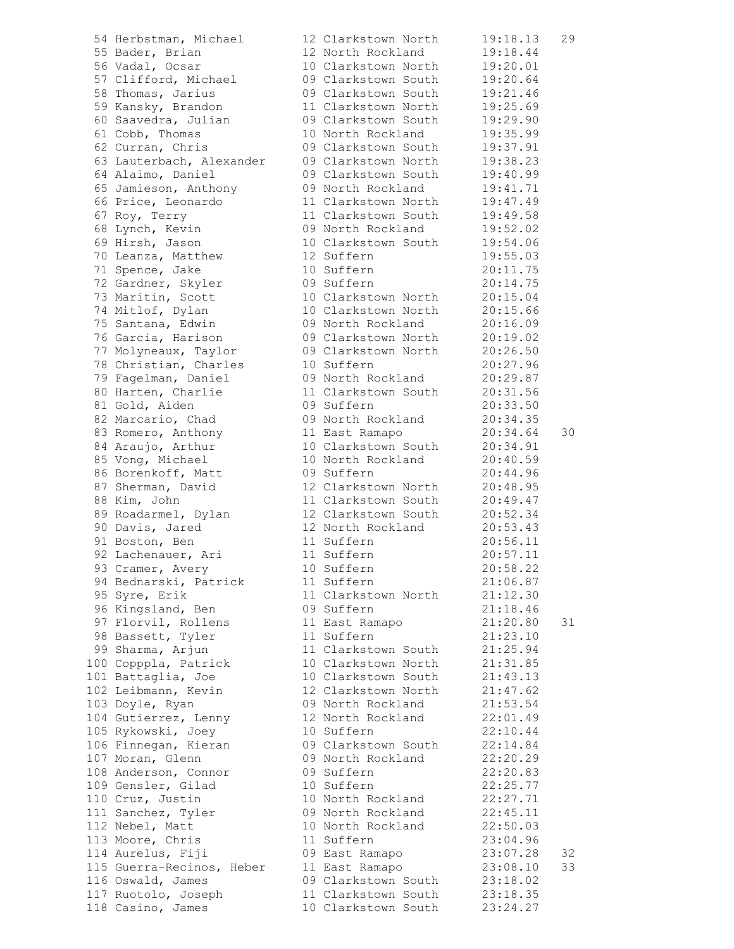|     | 54 Herbstman, Michael                                                       |
|-----|-----------------------------------------------------------------------------|
|     | 55 Bader, Brian                                                             |
|     | 56 Vadal, Ocsar                                                             |
|     |                                                                             |
|     | 57 Clifford, Michael                                                        |
|     | 58 Thomas, Jarius                                                           |
|     | 59 Kansky, Brandon                                                          |
|     | 60 Saavedra, Julian<br>61 Cobb, Thomas                                      |
|     |                                                                             |
|     | 62 Curran, Chris                                                            |
|     | 63 Lauterbach, Alexander                                                    |
|     |                                                                             |
|     | 64 Alaimo, Daniel                                                           |
|     | 65 Jamieson, Anthony                                                        |
|     | 66 Price, Leonardo                                                          |
|     | 67 Roy, Terry                                                               |
|     |                                                                             |
|     |                                                                             |
|     |                                                                             |
|     | 68 Lynch, Kevin<br>69 Hirsh, Jason<br>70 Leanza, Matthew<br>71 Spence, Jake |
|     | 72 Gardner, Skyler                                                          |
|     |                                                                             |
|     | 73 Maritin, Scott                                                           |
|     | 74 Mitlof, Dylan                                                            |
|     | 75 Santana, Edwin                                                           |
|     | 76 Garcia, Harison                                                          |
|     | 77 Molyneaux, Taylor                                                        |
|     |                                                                             |
|     | 78 Christian, Charles<br>79 Fagelman, Daniel                                |
|     | 80 Harten, Charlie                                                          |
|     | 81 Gold, Aiden                                                              |
|     | 82 Marcario, Chad                                                           |
|     |                                                                             |
|     | 83 Romero, Anthony                                                          |
|     | 84 Araujo, Arthur                                                           |
|     | 85 Vong, Michael                                                            |
|     | 86 Borenkoff, Matt                                                          |
|     | 87 Sherman, David<br>88 Kim, John                                           |
|     |                                                                             |
|     | 89 Roadarmel, Dylan                                                         |
|     | 90 Davis, Jared                                                             |
|     | 91 Boston, Ben                                                              |
|     | 92 Lachenauer, Ari                                                          |
|     | 93 Cramer, Avery                                                            |
|     |                                                                             |
|     | 94 Bednarski, Patrick                                                       |
|     | 95 Syre, Erik                                                               |
|     |                                                                             |
|     | 96 Kingsland, Ben<br>97 Florvil, Rollens<br>98 Bassett, Tyler               |
|     |                                                                             |
|     | 99 Sharma, Arjun                                                            |
|     | 100 Copppla, Patrick                                                        |
|     | 101 Battaglia, Joe                                                          |
|     | 102 Leibmann, Kevin                                                         |
|     | 103 Doyle, Ryan                                                             |
|     | 104 Gutierrez, Lenny                                                        |
|     |                                                                             |
| 106 | 105 Rykowski, Joey<br>Finnegan, Kieran                                      |
| 107 |                                                                             |
|     | Moran, Glenn                                                                |
|     | 108 Anderson, Connor                                                        |
|     | 109 Gensler, Gilad                                                          |
|     | 110 Cruz, Justin                                                            |
|     | 111 Sanchez, Tyler                                                          |
|     | 112 Nebel, Matt                                                             |
|     | 113 Moore, Chris                                                            |
|     | 114 Aurelus, Fiji                                                           |
|     | 115 Guerra-Recinos, Heber                                                   |
|     | ---<br>116 Oswald, James                                                    |
|     | 117 Ruotolo, Joseph                                                         |
|     | 118 Casino, James                                                           |
|     |                                                                             |

| 54 Herbstman, Michael     | 12 Clarkstown North | 19:18.13 | 29 |
|---------------------------|---------------------|----------|----|
| 55 Bader, Brian           | 12 North Rockland   | 19:18.44 |    |
| 56 Vadal, Ocsar           | 10 Clarkstown North | 19:20.01 |    |
| 57 Clifford, Michael      | 09 Clarkstown South | 19:20.64 |    |
| 58 Thomas, Jarius         | 09 Clarkstown South | 19:21.46 |    |
| 59 Kansky, Brandon        | 11 Clarkstown North | 19:25.69 |    |
| 60 Saavedra, Julian       | 09 Clarkstown South | 19:29.90 |    |
| 61 Cobb, Thomas           | 10 North Rockland   | 19:35.99 |    |
| 62 Curran, Chris          | 09 Clarkstown South | 19:37.91 |    |
| 63 Lauterbach, Alexander  | 09 Clarkstown North | 19:38.23 |    |
| 64 Alaimo, Daniel         | 09 Clarkstown South | 19:40.99 |    |
| 65 Jamieson, Anthony      | 09 North Rockland   | 19:41.71 |    |
| 66 Price, Leonardo        | 11 Clarkstown North | 19:47.49 |    |
| 67 Roy, Terry             | 11 Clarkstown South | 19:49.58 |    |
| 68 Lynch, Kevin           | 09 North Rockland   | 19:52.02 |    |
| 69 Hirsh, Jason           | 10 Clarkstown South | 19:54.06 |    |
| 70 Leanza, Matthew        | 12 Suffern          | 19:55.03 |    |
| 71 Spence, Jake           | 10 Suffern          | 20:11.75 |    |
| 72 Gardner, Skyler        | 09 Suffern          | 20:14.75 |    |
| 73 Maritin, Scott         | 10 Clarkstown North | 20:15.04 |    |
|                           | 10 Clarkstown North |          |    |
| 74 Mitlof, Dylan          | 09 North Rockland   | 20:15.66 |    |
| 75 Santana, Edwin         |                     | 20:16.09 |    |
| 76 Garcia, Harison        | 09 Clarkstown North | 20:19.02 |    |
| 77 Molyneaux, Taylor      | 09 Clarkstown North | 20:26.50 |    |
| 78 Christian, Charles     | 10 Suffern          | 20:27.96 |    |
| 79 Fagelman, Daniel       | 09 North Rockland   | 20:29.87 |    |
| 80 Harten, Charlie        | 11 Clarkstown South | 20:31.56 |    |
| 81 Gold, Aiden            | 09 Suffern          | 20:33.50 |    |
| 82 Marcario, Chad         | 09 North Rockland   | 20:34.35 |    |
| 83 Romero, Anthony        | 11 East Ramapo      | 20:34.64 | 30 |
| 84 Araujo, Arthur         | 10 Clarkstown South | 20:34.91 |    |
| 85 Vong, Michael          | 10 North Rockland   | 20:40.59 |    |
| 86 Borenkoff, Matt        | 09 Suffern          | 20:44.96 |    |
| 87 Sherman, David         | 12 Clarkstown North | 20:48.95 |    |
| 88 Kim, John              | 11 Clarkstown South | 20:49.47 |    |
| 89 Roadarmel, Dylan       | 12 Clarkstown South | 20:52.34 |    |
| 90 Davis, Jared           | 12 North Rockland   | 20:53.43 |    |
| 91 Boston, Ben            | 11 Suffern          | 20:56.11 |    |
| 92 Lachenauer, Ari        | 11 Suffern          | 20:57.11 |    |
| 93 Cramer, Avery          | 10 Suffern          | 20:58.22 |    |
| 94 Bednarski, Patrick     | 11 Suffern          | 21:06.87 |    |
| 95 Syre, Erik             | 11 Clarkstown North | 21:12.30 |    |
| 96 Kingsland, Ben         | 09 Suffern          | 21:18.46 |    |
| 97 Florvil, Rollens       | 11 East Ramapo      | 21:20.80 | 31 |
| 98 Bassett, Tyler         | 11 Suffern          | 21:23.10 |    |
| 99 Sharma, Arjun          | 11 Clarkstown South | 21:25.94 |    |
| 100 Copppla, Patrick      | 10 Clarkstown North | 21:31.85 |    |
| 101 Battaglia, Joe        | 10 Clarkstown South | 21:43.13 |    |
| 102 Leibmann, Kevin       | 12 Clarkstown North | 21:47.62 |    |
| 103 Doyle, Ryan           | 09 North Rockland   | 21:53.54 |    |
| 104 Gutierrez, Lenny      | 12 North Rockland   | 22:01.49 |    |
| 105 Rykowski, Joey        | 10 Suffern          | 22:10.44 |    |
| 106 Finnegan, Kieran      | 09 Clarkstown South | 22:14.84 |    |
| 107 Moran, Glenn          | 09 North Rockland   | 22:20.29 |    |
| 108 Anderson, Connor      | 09 Suffern          | 22:20.83 |    |
| 109 Gensler, Gilad        | 10 Suffern          | 22:25.77 |    |
| 110 Cruz, Justin          | 10 North Rockland   | 22:27.71 |    |
| 111 Sanchez, Tyler        | 09 North Rockland   | 22:45.11 |    |
|                           |                     |          |    |
| 112 Nebel, Matt           | 10 North Rockland   | 22:50.03 |    |
| 113 Moore, Chris          | 11 Suffern          | 23:04.96 |    |
| 114 Aurelus, Fiji         | 09 East Ramapo      | 23:07.28 | 32 |
| 115 Guerra-Recinos, Heber | 11 East Ramapo      | 23:08.10 | 33 |
| 116 Oswald, James         | 09 Clarkstown South | 23:18.02 |    |
| 117 Ruotolo, Joseph       | 11 Clarkstown South | 23:18.35 |    |
| 118 Casino, James         | 10 Clarkstown South | 23:24.27 |    |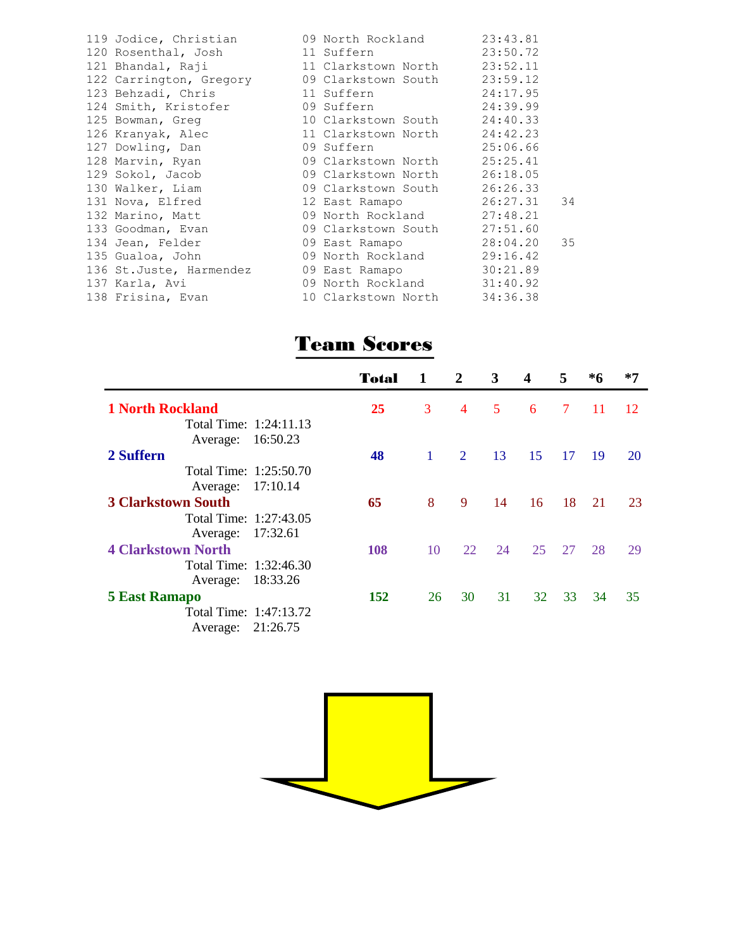|                                                      |                              | 23:43.81    |    |
|------------------------------------------------------|------------------------------|-------------|----|
| 120 Rosenthal, Josh 11 Suffern                       |                              | 23:50.72    |    |
| 121 Bhandal, Raji                                    | 11 Clarkstown North 23:52.11 |             |    |
| 122 Carrington, Gregory 09 Clarkstown South 23:59.12 |                              |             |    |
|                                                      |                              |             |    |
| 124 Smith, Kristofer 69 Suffern 24:39.99             |                              |             |    |
| 125 Bowman, Greg 10 Clarkstown South 24:40.33        |                              |             |    |
| 126 Kranyak, Alec 11 Clarkstown North 24:42.23       |                              |             |    |
| 127 Dowling, Dan                                     | 09 Suffern                   | 25:06.66    |    |
| 128 Marvin, Ryan                                     | 09 Clarkstown North 25:25.41 |             |    |
| 129 Sokol, Jacob                                     | 09 Clarkstown North          | 26:18.05    |    |
| 130 Walker, Liam                                     | 09 Clarkstown South 26:26.33 |             |    |
| 131 Nova, Elfred 12 East Ramapo 26:27.31             |                              |             | 34 |
| 132 Marino, Matt 69 North Rockland 27:48.21          |                              |             |    |
| 133 Goodman, Evan 69 Clarkstown South 27:51.60       |                              |             |    |
| 134 Jean, Felder 69 East Ramapo                      |                              | 28:04.20 35 |    |
| 135 Gualoa, John                                     | 09 North Rockland 29:16.42   |             |    |
| 136 St.Juste, Harmendez 69 East Ramapo 30:21.89      |                              |             |    |
| 137 Karla, Avi                                       | 09 North Rockland 31:40.92   |             |    |
| 138 Frisina, Evan                                    | 10 Clarkstown North 34:36.38 |             |    |

# Team Scores

|                           | Total | $\mathbf{1}$   | $\mathbf{2}$                | 3  | $\boldsymbol{4}$ | 5.     | *6 | $*7$ |
|---------------------------|-------|----------------|-----------------------------|----|------------------|--------|----|------|
| <b>1 North Rockland</b>   | 25    | 3              | $\overline{4}$              | 5  | 6                | $\tau$ | 11 | 12   |
| Total Time: 1:24:11.13    |       |                |                             |    |                  |        |    |      |
| 16:50.23<br>Average:      |       |                |                             |    |                  |        |    |      |
| 2 Suffern                 | 48    | $\overline{1}$ | $\mathcal{D}_{\mathcal{L}}$ | 13 | 15               | 17     | 19 | 20   |
| Total Time: 1:25:50.70    |       |                |                             |    |                  |        |    |      |
| 17:10.14<br>Average:      |       |                |                             |    |                  |        |    |      |
| <b>3 Clarkstown South</b> | 65    | 8              | 9                           | 14 | 16               | 18     | 21 | 23   |
| Total Time: 1:27:43.05    |       |                |                             |    |                  |        |    |      |
| 17:32.61<br>Average:      |       |                |                             |    |                  |        |    |      |
| <b>4 Clarkstown North</b> | 108   | 10             | 22                          | 24 | 25               | 27     | 28 | 29   |
| Total Time: 1:32:46.30    |       |                |                             |    |                  |        |    |      |
| 18:33.26<br>Average:      |       |                |                             |    |                  |        |    |      |
| <b>5 East Ramapo</b>      | 152   | 26             | 30                          | 31 | 32               | 33     | 34 | 35   |
| Total Time: 1:47:13.72    |       |                |                             |    |                  |        |    |      |
| 21:26.75<br>Average:      |       |                |                             |    |                  |        |    |      |

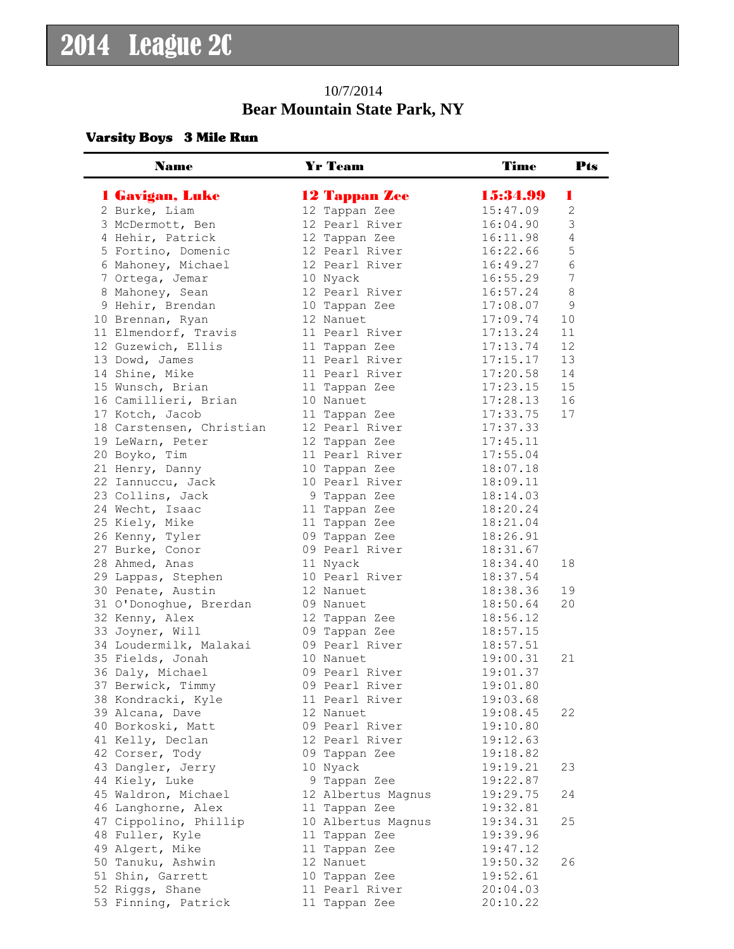## 10/7/2014 **Bear Mountain State Park, NY**

#### Varsity Boys 3 Mile Run

| <b>Name</b>                                 | <b>Yr Team</b>                      | <b>Time</b>          | <b>Pts</b>     |
|---------------------------------------------|-------------------------------------|----------------------|----------------|
| 1 Gavigan, Luke                             | <b>12 Tappan Zee</b>                | 15:34.99             |                |
| 2 Burke, Liam                               | 12 Tappan Zee                       | 15:47.09             | $\overline{2}$ |
| 3 McDermott, Ben                            | 12 Pearl River                      | 16:04.90             | 3              |
| 4 Hehir, Patrick                            | 12 Tappan Zee                       | 16:11.98             | $\overline{4}$ |
| 5 Fortino, Domenic                          | 12 Pearl River                      | 16:22.66             | 5              |
| 6 Mahoney, Michael                          | 12 Pearl River                      | 16:49.27             | 6              |
| 7 Ortega, Jemar                             | 10 Nyack                            | 16:55.29             | 7              |
| 8 Mahoney, Sean                             | 12 Pearl River                      | 16:57.24             | $\,8\,$        |
| 9 Hehir, Brendan                            | 10 Tappan Zee                       | 17:08.07             | $\mathsf 9$    |
| 10 Brennan, Ryan                            | 12 Nanuet                           | 17:09.74             | 10             |
| 11 Elmendorf, Travis                        | 11 Pearl River                      | 17:13.24             | 11             |
| 12 Guzewich, Ellis                          | 11 Tappan Zee                       | 17:13.74             | 12             |
| 13 Dowd, James                              | 11 Pearl River                      | 17:15.17             | 13             |
| 14 Shine, Mike                              | 11 Pearl River                      | 17:20.58             | 14             |
| 15 Wunsch, Brian                            | 11 Tappan Zee                       | 17:23.15             | 15             |
| 16 Camillieri, Brian                        | 10 Nanuet                           | 17:28.13             | 16             |
| 17 Kotch, Jacob                             | 11 Tappan Zee                       | 17:33.75             | 17             |
| 18 Carstensen, Christian                    | 12 Pearl River                      | 17:37.33             |                |
| 19 LeWarn, Peter                            | 12 Tappan Zee                       | 17:45.11             |                |
| 20 Boyko, Tim                               | 11 Pearl River                      | 17:55.04             |                |
| 21 Henry, Danny                             | 10 Tappan Zee                       | 18:07.18             |                |
| 22 Iannuccu, Jack                           | 10 Pearl River                      | 18:09.11             |                |
| 23 Collins, Jack                            | 9 Tappan Zee                        | 18:14.03             |                |
| 24 Wecht, Isaac                             | 11 Tappan Zee                       | 18:20.24             |                |
| 25 Kiely, Mike                              | 11 Tappan Zee                       | 18:21.04             |                |
| 26 Kenny, Tyler                             | 09 Tappan Zee                       | 18:26.91             |                |
| 27 Burke, Conor                             | 09 Pearl River                      | 18:31.67             |                |
| 28 Ahmed, Anas                              | 11 Nyack                            | 18:34.40             | 18             |
| 29 Lappas, Stephen                          | 10 Pearl River                      | 18:37.54             |                |
| 30 Penate, Austin                           | 12 Nanuet                           | 18:38.36             | 19             |
| 31 O'Donoghue, Brerdan                      | 09 Nanuet                           | 18:50.64             | 20             |
| 32 Kenny, Alex                              | 12 Tappan Zee                       | 18:56.12             |                |
| 33 Joyner, Will                             | 09 Tappan Zee                       | 18:57.15             |                |
| 34 Loudermilk, Malakai                      | 09 Pearl River                      | 18:57.51             |                |
| 35 Fields, Jonah                            | 10 Nanuet                           | 19:00.31             | 21             |
| 36 Daly, Michael                            | 09 Pearl River                      | 19:01.37             |                |
| 37 Berwick, Timmy                           | 09 Pearl River                      | 19:01.80             |                |
| 38 Kondracki, Kyle                          | 11 Pearl River                      | 19:03.68             |                |
| 39 Alcana, Dave                             | 12 Nanuet                           | 19:08.45             | 22             |
| 40 Borkoski, Matt                           | 09 Pearl River                      | 19:10.80             |                |
| 41 Kelly, Declan                            | 12 Pearl River                      | 19:12.63             |                |
| 42 Corser, Tody                             | 09 Tappan Zee                       | 19:18.82             | 23             |
| 43 Dangler, Jerry                           | 10 Nyack                            | 19:19.21             |                |
| 44 Kiely, Luke                              | 9 Tappan Zee                        | 19:22.87<br>19:29.75 | 24             |
| 45 Waldron, Michael                         | 12 Albertus Magnus                  | 19:32.81             |                |
| 46 Langhorne, Alex<br>47 Cippolino, Phillip | 11 Tappan Zee<br>10 Albertus Magnus | 19:34.31             | 25             |
| 48 Fuller, Kyle                             | 11 Tappan Zee                       | 19:39.96             |                |
| 49 Algert, Mike                             | 11 Tappan Zee                       | 19:47.12             |                |
| 50 Tanuku, Ashwin                           | 12 Nanuet                           | 19:50.32             | 26             |
| 51 Shin, Garrett                            | 10 Tappan Zee                       | 19:52.61             |                |
| 52 Riggs, Shane                             | 11 Pearl River                      | 20:04.03             |                |
| 53 Finning, Patrick                         | 11 Tappan Zee                       | 20:10.22             |                |
|                                             |                                     |                      |                |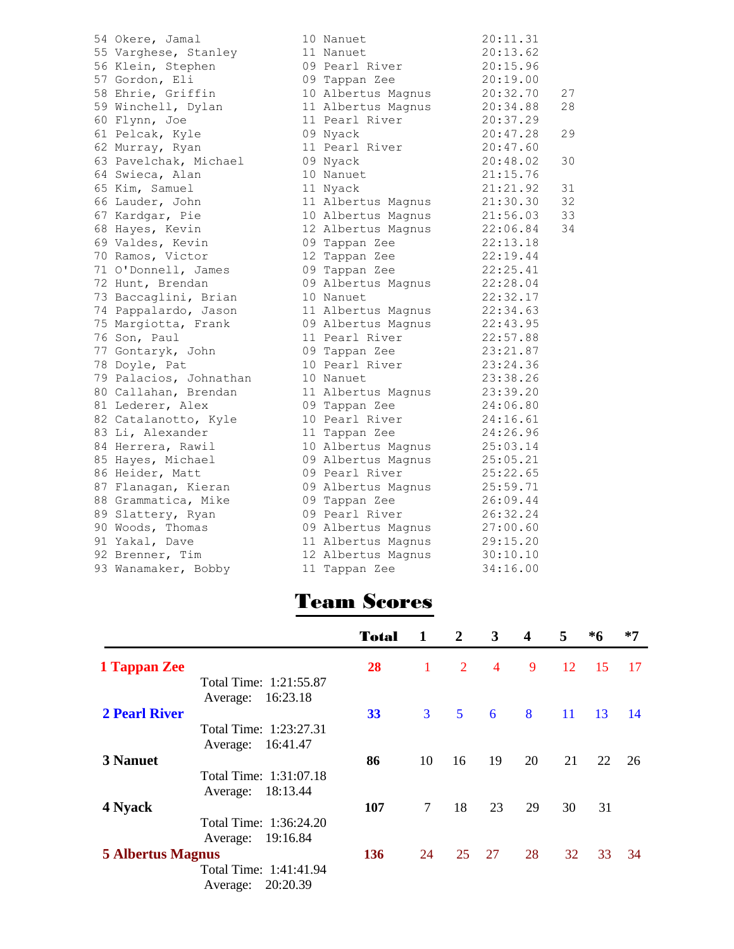| 54 Okere, Jamal        | 10 Nanuet          | 20:11.31 |    |
|------------------------|--------------------|----------|----|
| 55 Varghese, Stanley   | 11 Nanuet          | 20:13.62 |    |
| 56 Klein, Stephen      | 09 Pearl River     | 20:15.96 |    |
| 57 Gordon, Eli         | 09 Tappan Zee      | 20:19.00 |    |
| 58 Ehrie, Griffin      | 10 Albertus Magnus | 20:32.70 | 27 |
| 59 Winchell, Dylan     | 11 Albertus Magnus | 20:34.88 | 28 |
| 60 Flynn, Joe          | 11 Pearl River     | 20:37.29 |    |
| 61 Pelcak, Kyle        | 09 Nyack           | 20:47.28 | 29 |
| 62 Murray, Ryan        | 11 Pearl River     | 20:47.60 |    |
| 63 Pavelchak, Michael  | 09 Nyack           | 20:48.02 | 30 |
| 64 Swieca, Alan        | 10 Nanuet          | 21:15.76 |    |
| 65 Kim, Samuel         | 11 Nyack           | 21:21.92 | 31 |
| 66 Lauder, John        | 11 Albertus Magnus | 21:30.30 | 32 |
| 67 Kardgar, Pie        | 10 Albertus Magnus | 21:56.03 | 33 |
| 68 Hayes, Kevin        | 12 Albertus Magnus | 22:06.84 | 34 |
| 69 Valdes, Kevin       | 09 Tappan Zee      | 22:13.18 |    |
| 70 Ramos, Victor       | 12 Tappan Zee      | 22:19.44 |    |
| 71 O'Donnell, James    | 09 Tappan Zee      | 22:25.41 |    |
| 72 Hunt, Brendan       | 09 Albertus Magnus | 22:28.04 |    |
| 73 Baccaglini, Brian   | 10 Nanuet          | 22:32.17 |    |
| 74 Pappalardo, Jason   | 11 Albertus Magnus | 22:34.63 |    |
| 75 Margiotta, Frank    | 09 Albertus Magnus | 22:43.95 |    |
| 76 Son, Paul           | 11 Pearl River     | 22:57.88 |    |
| 77 Gontaryk, John      | 09 Tappan Zee      | 23:21.87 |    |
| 78 Doyle, Pat          | 10 Pearl River     | 23:24.36 |    |
| 79 Palacios, Johnathan | 10 Nanuet          | 23:38.26 |    |
| 80 Callahan, Brendan   | 11 Albertus Magnus | 23:39.20 |    |
| 81 Lederer, Alex       | 09 Tappan Zee      | 24:06.80 |    |
| 82 Catalanotto, Kyle   | 10 Pearl River     | 24:16.61 |    |
| 83 Li, Alexander       | 11 Tappan Zee      | 24:26.96 |    |
| 84 Herrera, Rawil      | 10 Albertus Magnus | 25:03.14 |    |
| 85 Hayes, Michael      | 09 Albertus Magnus | 25:05.21 |    |
| 86 Heider, Matt        | 09 Pearl River     | 25:22.65 |    |
| 87 Flanagan, Kieran    | 09 Albertus Magnus | 25:59.71 |    |
| 88 Grammatica, Mike    | 09 Tappan Zee      | 26:09.44 |    |
| 89 Slattery, Ryan      | 09 Pearl River     | 26:32.24 |    |
| 90 Woods, Thomas       | 09 Albertus Magnus | 27:00.60 |    |
| 91 Yakal, Dave         | 11 Albertus Magnus | 29:15.20 |    |
| 92 Brenner, Tim        | 12 Albertus Magnus | 30:10.10 |    |
| 93 Wanamaker, Bobby    | 11 Tappan Zee      | 34:16.00 |    |
|                        |                    |          |    |

# Team Scores

|                          | <b>Total</b> | 1              | $\overline{2}$ | 3              | $\boldsymbol{4}$ | 5  | $*6$ | $*7$ |
|--------------------------|--------------|----------------|----------------|----------------|------------------|----|------|------|
| 1 Tappan Zee             | 28           | $\mathbf{1}$   | 2              | $\overline{4}$ | 9                | 12 | 15   | -17  |
| Total Time: 1:21:55.87   |              |                |                |                |                  |    |      |      |
| Average: 16:23.18        |              |                |                |                |                  |    |      |      |
| <b>2 Pearl River</b>     | 33           | 3 <sup>1</sup> | $\mathbf{5}$   | 6              | 8                | 11 | 13   | 14   |
| Total Time: 1:23:27.31   |              |                |                |                |                  |    |      |      |
| Average: 16:41.47        |              |                |                |                |                  |    |      |      |
| <b>3 Nanuet</b>          | 86           | 10             | 16             | 19             | 20               | 21 | 22   | 26   |
| Total Time: 1:31:07.18   |              |                |                |                |                  |    |      |      |
| Average:                 | 18:13.44     |                |                |                |                  |    |      |      |
| 4 Nyack                  | 107          | $\overline{7}$ | 18             | 23             | 29               | 30 | 31   |      |
| Total Time: 1:36:24.20   |              |                |                |                |                  |    |      |      |
| Average:                 | 19:16.84     |                |                |                |                  |    |      |      |
|                          |              |                |                |                |                  |    |      |      |
| <b>5 Albertus Magnus</b> | 136          | 24             | 25             | 27             | 28               | 32 | 33   | 34   |
| Total Time: 1:41:41.94   |              |                |                |                |                  |    |      |      |
| Average:                 | 20:20.39     |                |                |                |                  |    |      |      |